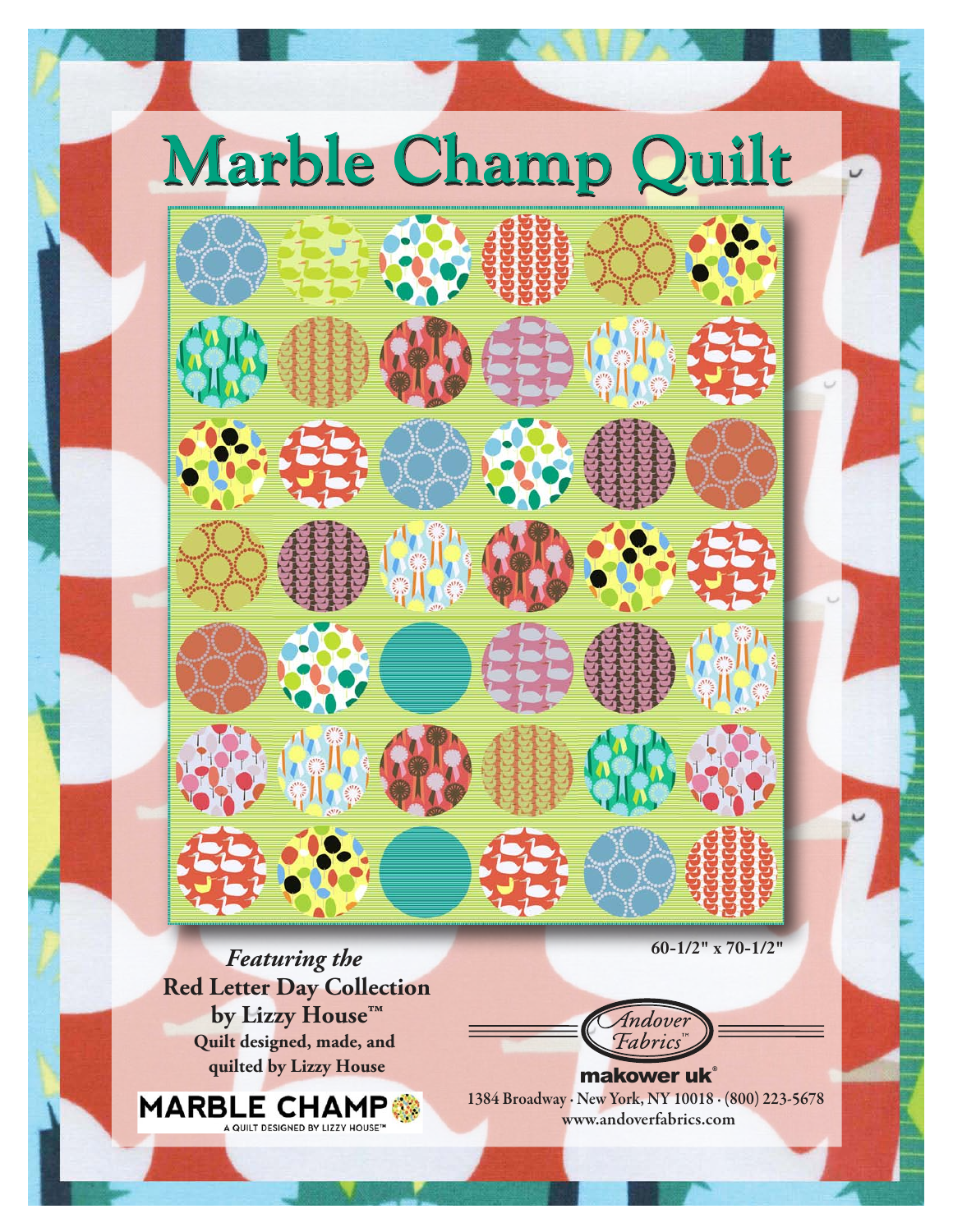

*Featuring the*  **Red Letter Day Collection by Lizzy House<sup>™</sup> Quilt designed, made, and quilted by Lizzy House**

MARBLE CHAMP

'ndove Fabric

1384 Broadway · New York, NY 10018 · (800) 223-5678 www.andoverfabrics.com makower uk®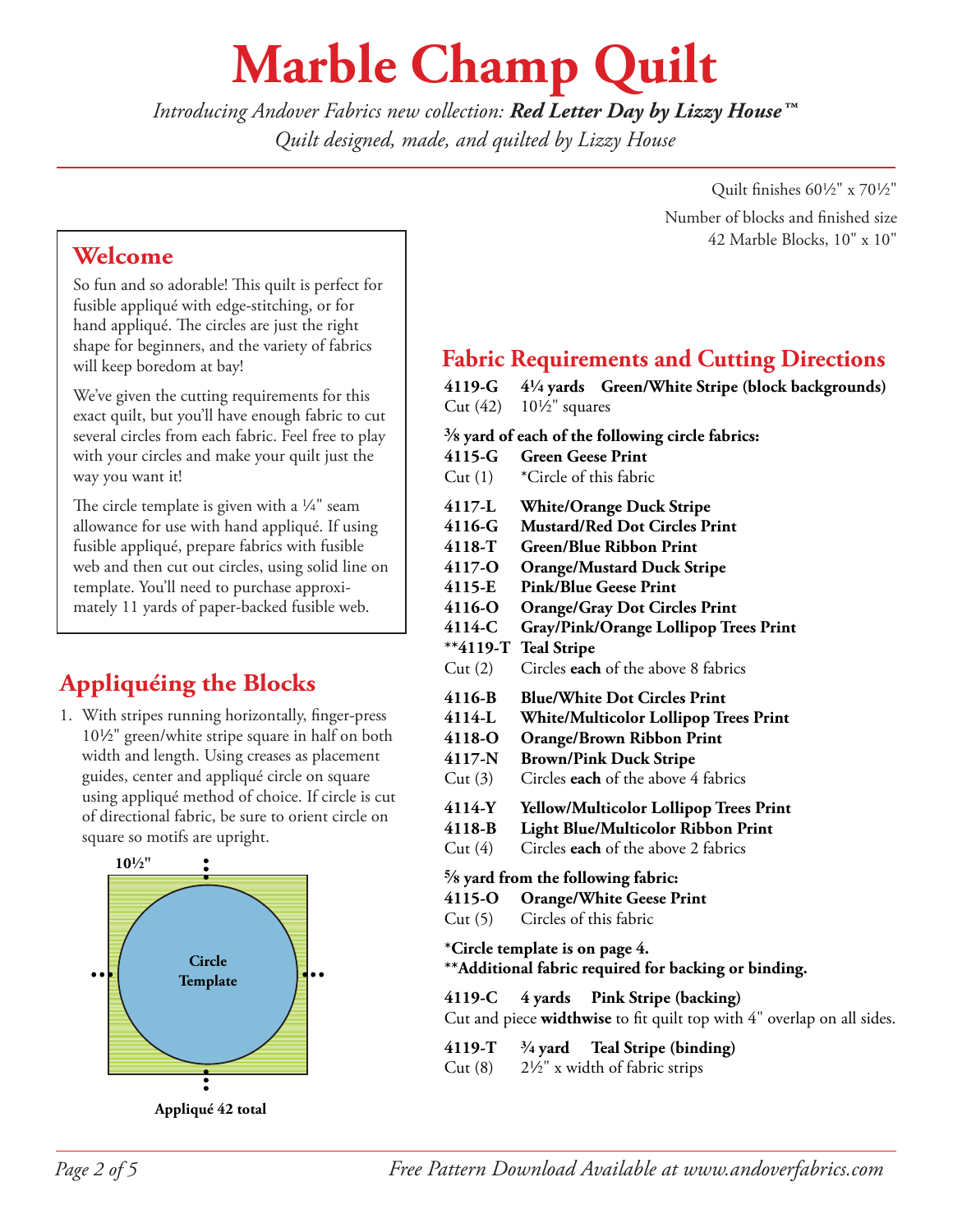## **Marble Champ Quilt**

*Introducing Andover Fabrics new collection: Red Letter Day by Lizzy House™ Quilt designed, made, and quilted by Lizzy House*

**Welcome**

So fun and so adorable! This quilt is perfect for fusible appliqué with edge-stitching, or for hand appliqué. The circles are just the right shape for beginners, and the variety of fabrics will keep boredom at bay!

We've given the cutting requirements for this exact quilt, but you'll have enough fabric to cut several circles from each fabric. Feel free to play with your circles and make your quilt just the way you want it!

The circle template is given with a  $\frac{1}{4}$ " seam allowance for use with hand appliqué. If using fusible appliqué, prepare fabrics with fusible web and then cut out circles, using solid line on template. You'll need to purchase approximately 11 yards of paper-backed fusible web.

## **Appliquéing the Blocks**

1. With stripes running horizontally, finger-press 10<sup>1</sup>/<sub>2</sub>" green/white stripe square in half on both width and length. Using creases as placement guides, center and appliqué circle on square using appliqué method of choice. If circle is cut of directional fabric, be sure to orient circle on square so motifs are upright.



**Appliqué 42 total**

Quilt finishes  $60\frac{1}{2}$ " x  $70\frac{1}{2}$ " Number of blocks and finished size 42 Marble Blocks, 10" x 10"

### **Fabric Requirements and Cutting Directions**

**4119-G 44 yards Green/White Stripe (block backgrounds)** Cut  $(42)$  10<sup>1</sup>/<sub>2</sub>" squares

#### **s yard of each of the following circle fabrics:**

- **4115-G Green Geese Print**
- Cut (1) \*Circle of this fabric
- **4117-L White/Orange Duck Stripe**
- **4116-G Mustard/Red Dot Circles Print**
- **4118-T Green/Blue Ribbon Print**
- **4117-O Orange/Mustard Duck Stripe**
- **4115-E Pink/Blue Geese Print**
- **4116-O Orange/Gray Dot Circles Print**
- **4114-C Gray/Pink/Orange Lollipop Trees Print**
- **\*\*4119-T Teal Stripe**
- Cut (2) Circles **each** of the above 8 fabrics
- **4116-B Blue/White Dot Circles Print**
- **4114-L White/Multicolor Lollipop Trees Print**
- **4118-O Orange/Brown Ribbon Print**
- **4117-N Brown/Pink Duck Stripe**
- Cut (3) Circles **each** of the above 4 fabrics
- **4114-Y Yellow/Multicolor Lollipop Trees Print**
- **4118-B Light Blue/Multicolor Ribbon Print**
- Cut (4) Circles **each** of the above 2 fabrics

#### **d yard from the following fabric:**

- **4115-O Orange/White Geese Print**
- Cut (5) Circles of this fabric
- **\*Circle template is on page 4.**

#### **\*\*Additional fabric required for backing or binding.**

- **4119-C 4 yards Pink Stripe (backing)** Cut and piece **widthwise** to fit quilt top with 4" overlap on all sides.
- **4119-T w yard Teal Stripe (binding)**
- Cut  $(8)$  2½" x width of fabric strips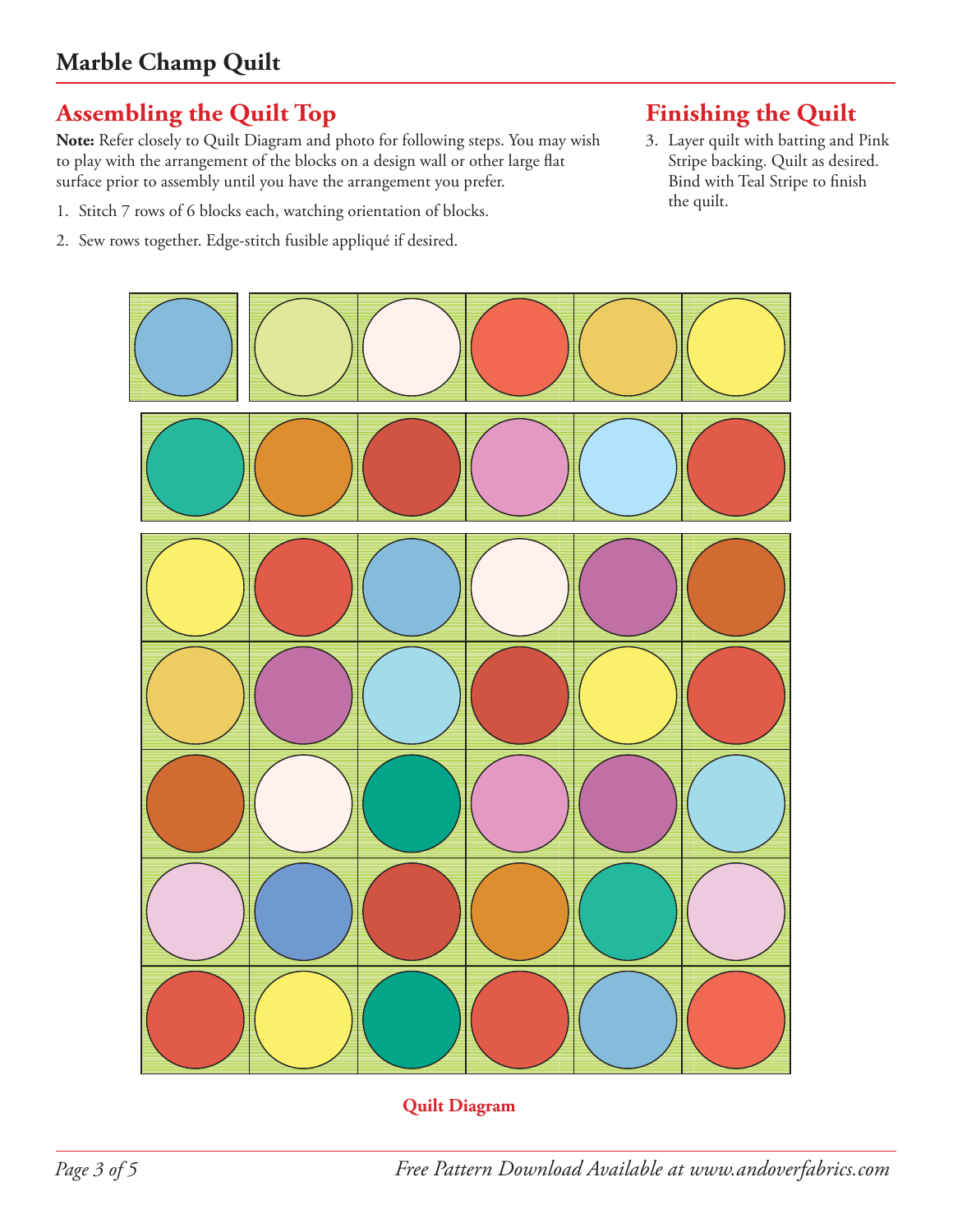## **Assembling the Quilt Top**

**Note:** Refer closely to Quilt Diagram and photo for following steps. You may wish to play with the arrangement of the blocks on a design wall or other large flat surface prior to assembly until you have the arrangement you prefer.

- 1. Stitch 7 rows of 6 blocks each, watching orientation of blocks.
- 2. Sew rows together. Edge-stitch fusible appliqué if desired.

## **Finishing the Quilt**

3. Layer quilt with batting and Pink Stripe backing. Quilt as desired. Bind with Teal Stripe to finish the quilt.



#### **Quilt Diagram**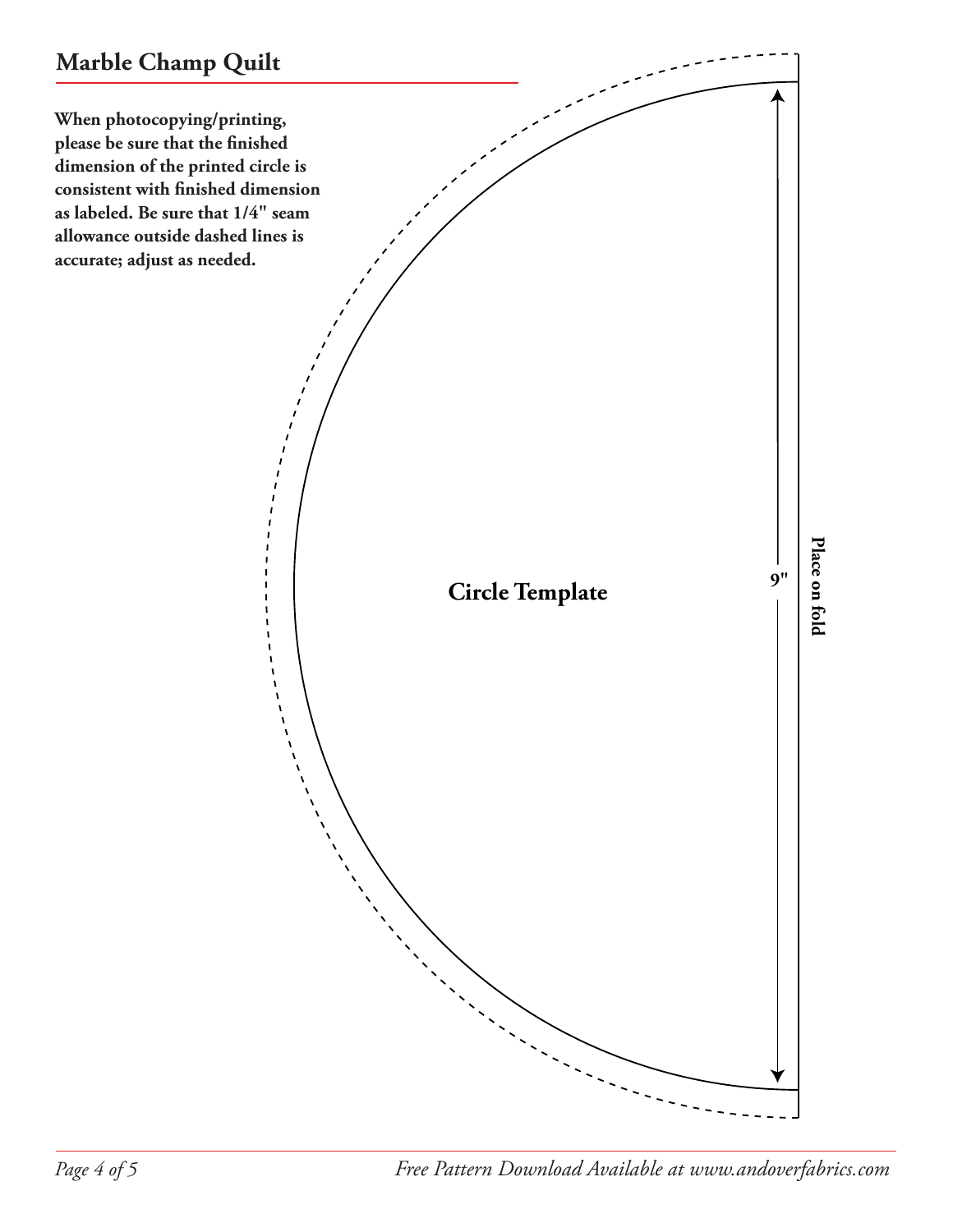**When photocopying/printing, please be sure that the finished dimension of the printed circle is consistent with finished dimension as labeled. Be sure that 1/4" seam allowance outside dashed lines is accurate; adjust as needed.**